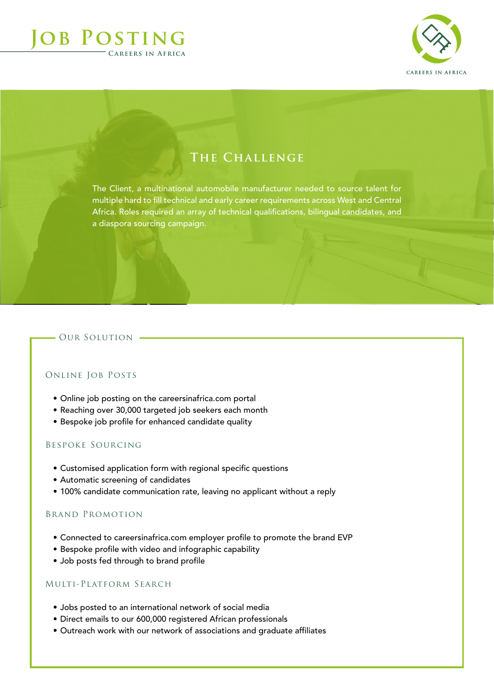# **Job Posting Careers in Africa**



# **The Challenge**

The Client, a multinational automobile manufacturer needed to source talent for multiple hard to fill technical and early career requirements across West and Central Africa. Roles required an array of technical qualifications, bilingual candidates, and a diaspora sourcing campaign.

## OUR SOLUTION -

### Online Job Posts

- Online job posting on the careersinafrica.com portal
- Reaching over 30,000 targeted job seekers each month
- Bespoke job profile for enhanced candidate quality

#### Bespoke Sourcing

- Customised application form with regional specific questions
- Automatic screening of candidates
- 100% candidate communication rate, leaving no applicant without a reply

#### Brand Promotion

- Connected to careersinafrica.com employer profile to promote the brand EVP
- Bespoke profile with video and infographic capability
- Job posts fed through to brand profile

## Multi-Platform Search

- Jobs posted to an international network of social media
- Direct emails to our 600,000 registered African professionals
- Outreach work with our network of associations and graduate affiliates